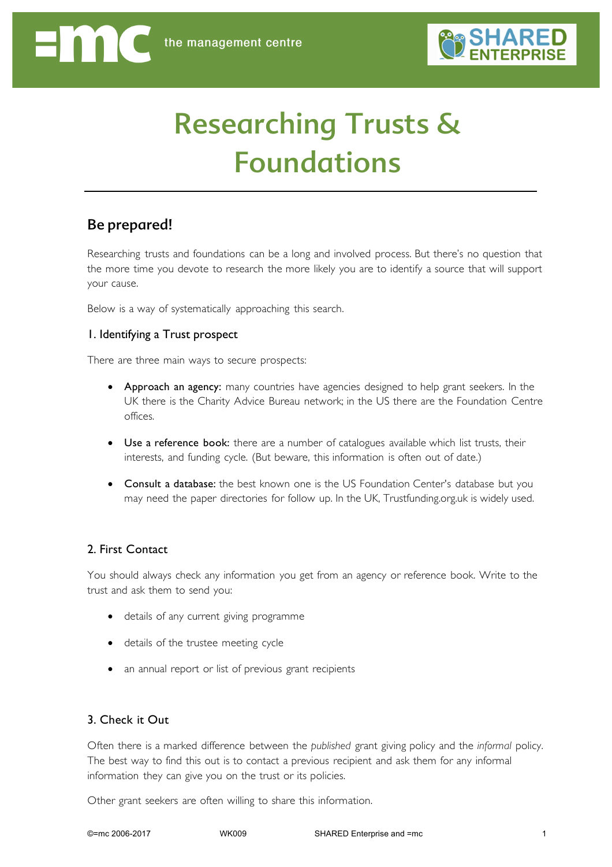# Researching Trusts & Foundations

### Be prepared!

Enne

Researching trusts and foundations can be a long and involved process. But there's no question that the more time you devote to research the more likely you are to identify a source that will support your cause.

Below is a way of systematically approaching this search.

### 1. Identifying a Trust prospect

There are three main ways to secure prospects:

- Approach an agency: many countries have agencies designed to help grant seekers. In the UK there is the Charity Advice Bureau network; in the US there are the Foundation Centre offices.
- Use a reference book: there are a number of catalogues available which list trusts, their interests, and funding cycle. (But beware, this information is often out of date.)
- Consult a database: the best known one is the US Foundation Center's database but you may need the paper directories for follow up. In the UK, Trustfunding.org.uk is widely used.

### 2. First Contact

You should always check any information you get from an agency or reference book. Write to the trust and ask them to send you:

- details of any current giving programme
- details of the trustee meeting cycle
- an annual report or list of previous grant recipients

### 3. Check it Out

Often there is a marked difference between the *published* grant giving policy and the *informal* policy. The best way to find this out is to contact a previous recipient and ask them for any informal information they can give you on the trust or its policies.

Other grant seekers are often willing to share this information.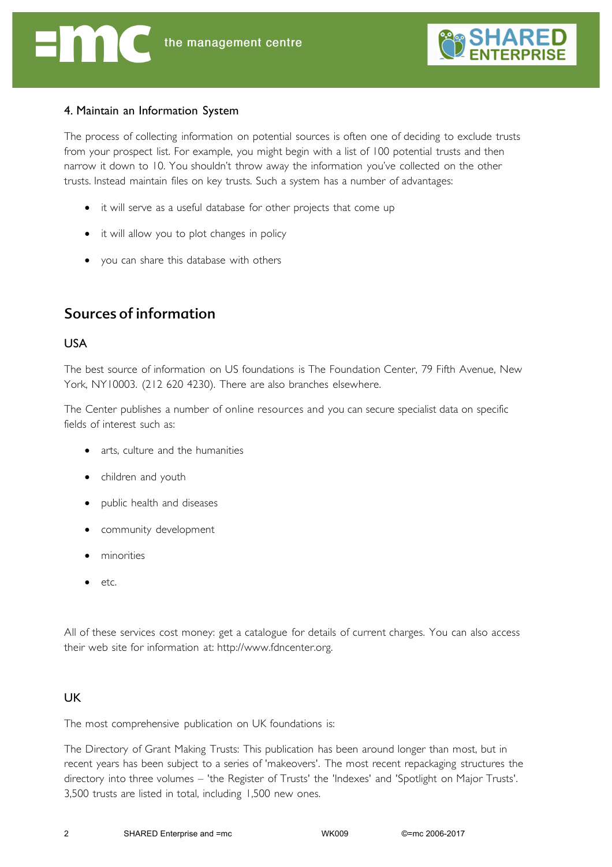

### 4. Maintain an Information System

The process of collecting information on potential sources is often one of deciding to exclude trusts from your prospect list. For example, you might begin with a list of 100 potential trusts and then narrow it down to 10. You shouldn't throw away the information you've collected on the other trusts. Instead maintain files on key trusts. Such a system has a number of advantages:

- it will serve as a useful database for other projects that come up
- it will allow you to plot changes in policy
- you can share this database with others

## Sources of information

### USA

The best source of information on US foundations is The Foundation Center, 79 Fifth Avenue, New York, NY10003. (212 620 4230). There are also branches elsewhere.

The Center publishes a number of online resources and you can secure specialist data on specific fields of interest such as:

- arts, culture and the humanities
- children and youth
- public health and diseases
- community development
- minorities
- etc.

All of these services cost money: get a catalogue for details of current charges. You can also access their web site for information at: http://www.fdncenter.org.

### **UK**

The most comprehensive publication on UK foundations is:

The Directory of Grant Making Trusts: This publication has been around longer than most, but in recent years has been subject to a series of 'makeovers'. The most recent repackaging structures the directory into three volumes – 'the Register of Trusts' the 'Indexes' and 'Spotlight on Major Trusts'. 3,500 trusts are listed in total, including 1,500 new ones.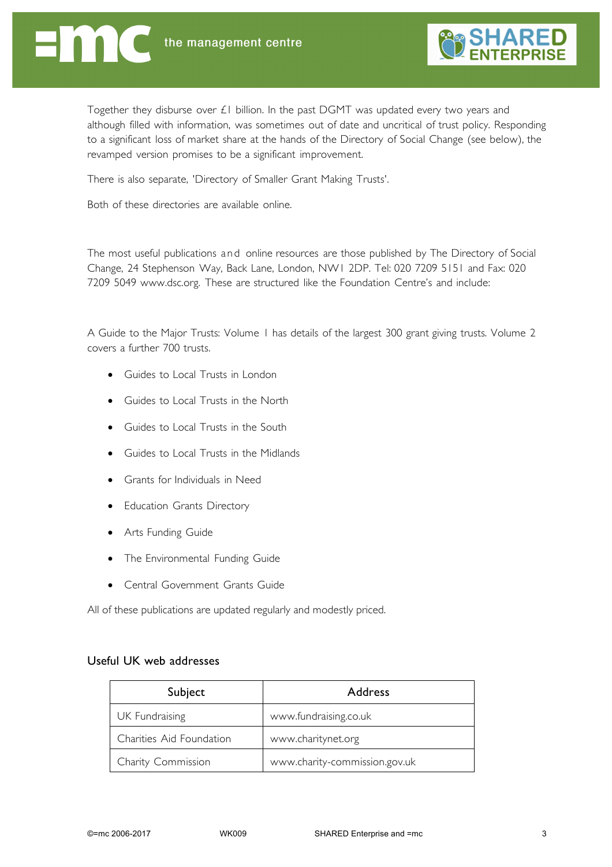

Together they disburse over £1 billion. In the past DGMT was updated every two years and although filled with information, was sometimes out of date and uncritical of trust policy. Responding to a significant loss of market share at the hands of the Directory of Social Change (see below), the revamped version promises to be a significant improvement.

There is also separate, 'Directory of Smaller Grant Making Trusts'.

Both of these directories are available online.

The most useful publications and online resources are those published by The Directory of Social Change, 24 Stephenson Way, Back Lane, London, NW1 2DP. Tel: 020 7209 5151 and Fax: 020 7209 5049 www.dsc.org. These are structured like the Foundation Centre's and include:

A Guide to the Major Trusts: Volume 1 has details of the largest 300 grant giving trusts. Volume 2 covers a further 700 trusts.

- Guides to Local Trusts in London
- Guides to Local Trusts in the North
- Guides to Local Trusts in the South
- Guides to Local Trusts in the Midlands
- Grants for Individuals in Need
- Education Grants Directory
- Arts Funding Guide
- The Environmental Funding Guide
- Central Government Grants Guide

All of these publications are updated regularly and modestly priced.

#### Useful UK web addresses

| Subject                  | <b>Address</b>                |
|--------------------------|-------------------------------|
| UK Fundraising           | www.fundraising.co.uk         |
| Charities Aid Foundation | www.charitynet.org            |
| Charity Commission       | www.charity-commission.gov.uk |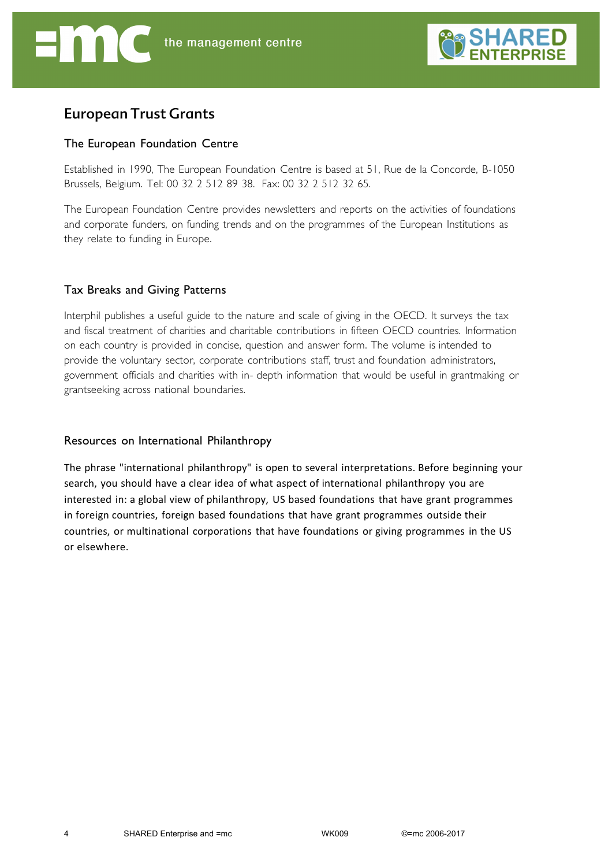

### European Trust Grants

### The European Foundation Centre

Established in 1990, The European Foundation Centre is based at 51, Rue de la Concorde, B-1050 Brussels, Belgium. Tel: 00 32 2 512 89 38. Fax: 00 32 2 512 32 65.

The European Foundation Centre provides newsletters and reports on the activities of foundations and corporate funders, on funding trends and on the programmes of the European Institutions as they relate to funding in Europe.

### Tax Breaks and Giving Patterns

Interphil publishes a useful guide to the nature and scale of giving in the OECD. It surveys the tax and fiscal treatment of charities and charitable contributions in fifteen OECD countries. Information on each country is provided in concise, question and answer form. The volume is intended to provide the voluntary sector, corporate contributions staff, trust and foundation administrators, government officials and charities with in- depth information that would be useful in grantmaking or grantseeking across national boundaries.

### Resources on International Philanthropy

The phrase "international philanthropy" is open to several interpretations. Before beginning your search, you should have a clear idea of what aspect of international philanthropy you are interested in: a global view of philanthropy, US based foundations that have grant programmes in foreign countries, foreign based foundations that have grant programmes outside their countries, or multinational corporations that have foundations or giving programmes in the US or elsewhere.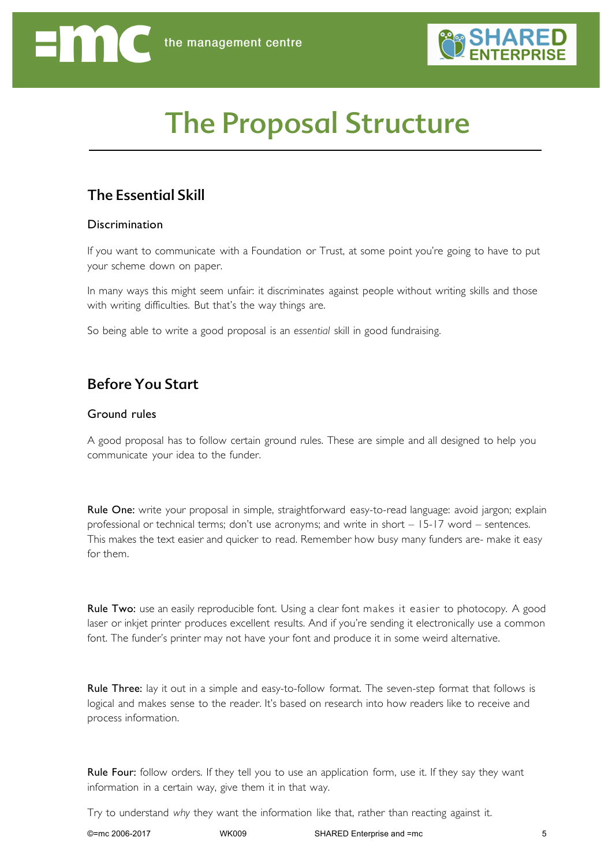

# The Proposal Structure

# The Essential Skill

### **Discrimination**

If you want to communicate with a Foundation or Trust, at some point you're going to have to put your scheme down on paper.

In many ways this might seem unfair: it discriminates against people without writing skills and those with writing difficulties. But that's the way things are.

So being able to write a good proposal is an *essential* skill in good fundraising.

# Before You Start

### Ground rules

A good proposal has to follow certain ground rules. These are simple and all designed to help you communicate your idea to the funder.

Rule One: write your proposal in simple, straightforward easy-to-read language: avoid jargon; explain professional or technical terms; don't use acronyms; and write in short – 15-17 word – sentences. This makes the text easier and quicker to read. Remember how busy many funders are- make it easy for them.

Rule Two: use an easily reproducible font. Using a clear font makes it easier to photocopy. A good laser or inkjet printer produces excellent results. And if you're sending it electronically use a common font. The funder's printer may not have your font and produce it in some weird alternative.

Rule Three: lay it out in a simple and easy-to-follow format. The seven-step format that follows is logical and makes sense to the reader. It's based on research into how readers like to receive and process information.

Rule Four: follow orders. If they tell you to use an application form, use it. If they say they want information in a certain way, give them it in that way.

Try to understand *why* they want the information like that, rather than reacting against it.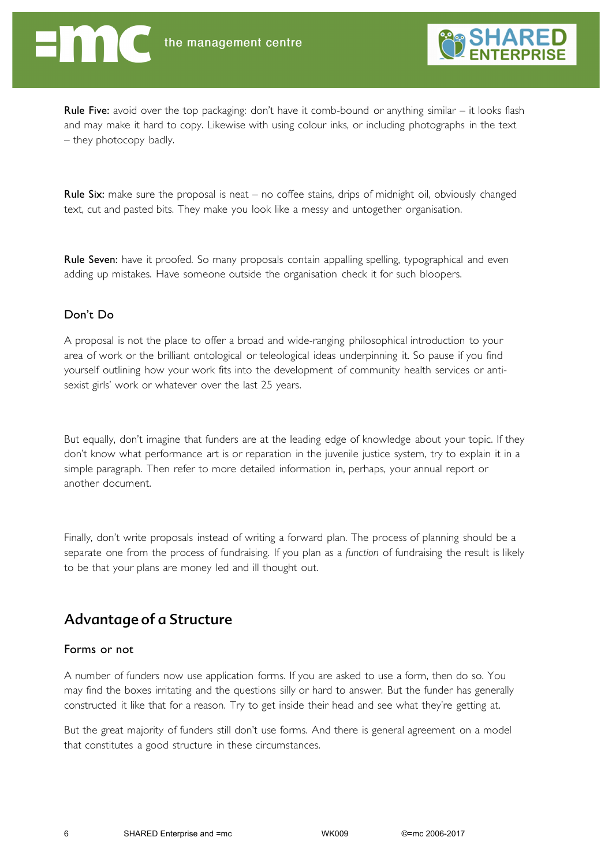

**Rule Five:** avoid over the top packaging: don't have it comb-bound or anything similar  $-$  it looks flash and may make it hard to copy. Likewise with using colour inks, or including photographs in the text – they photocopy badly.

**Rule Six:** make sure the proposal is neat – no coffee stains, drips of midnight oil, obviously changed text, cut and pasted bits. They make you look like a messy and untogether organisation.

Rule Seven: have it proofed. So many proposals contain appalling spelling, typographical and even adding up mistakes. Have someone outside the organisation check it for such bloopers.

### Don't Do

A proposal is not the place to offer a broad and wide-ranging philosophical introduction to your area of work or the brilliant ontological or teleological ideas underpinning it. So pause if you find yourself outlining how your work fits into the development of community health services or antisexist girls' work or whatever over the last 25 years.

But equally, don't imagine that funders are at the leading edge of knowledge about your topic. If they don't know what performance art is or reparation in the juvenile justice system, try to explain it in a simple paragraph. Then refer to more detailed information in, perhaps, your annual report or another document.

Finally, don't write proposals instead of writing a forward plan. The process of planning should be a separate one from the process of fundraising. If you plan as a *function* of fundraising the result is likely to be that your plans are money led and ill thought out.

### Advantage of a Structure

#### Forms or not

A number of funders now use application forms. If you are asked to use a form, then do so. You may find the boxes irritating and the questions silly or hard to answer. But the funder has generally constructed it like that for a reason. Try to get inside their head and see what they're getting at.

But the great majority of funders still don't use forms. And there is general agreement on a model that constitutes a good structure in these circumstances.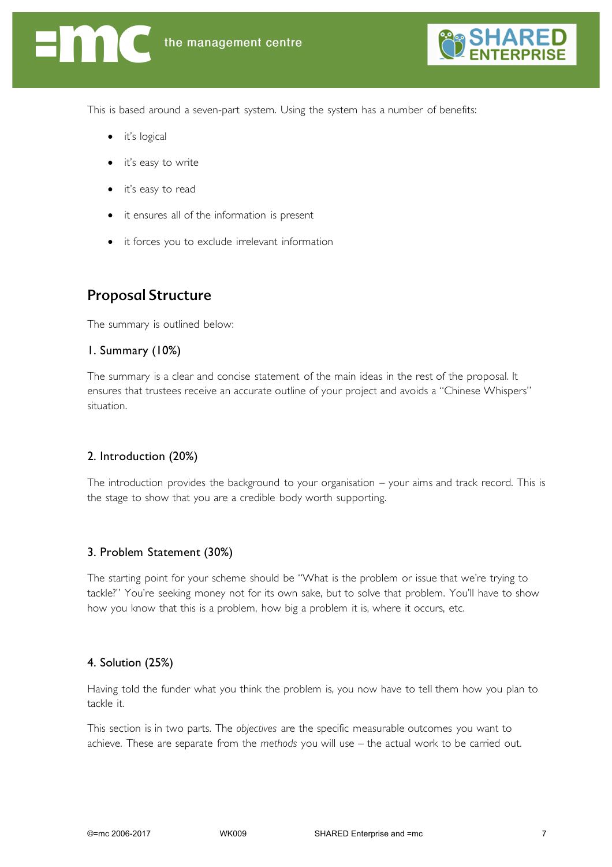

This is based around a seven-part system. Using the system has a number of benefits:

- it's logical
- it's easy to write
- it's easy to read
- it ensures all of the information is present
- it forces you to exclude irrelevant information

### Proposal Structure

The summary is outlined below:

### 1. Summary (10%)

The summary is a clear and concise statement of the main ideas in the rest of the proposal. It ensures that trustees receive an accurate outline of your project and avoids a "Chinese Whispers" situation.

### 2. Introduction (20%)

The introduction provides the background to your organisation – your aims and track record. This is the stage to show that you are a credible body worth supporting.

### 3. Problem Statement (30%)

The starting point for your scheme should be "What is the problem or issue that we're trying to tackle?" You're seeking money not for its own sake, but to solve that problem. You'll have to show how you know that this is a problem, how big a problem it is, where it occurs, etc.

### 4. Solution (25%)

Having told the funder what you think the problem is, you now have to tell them how you plan to tackle it.

This section is in two parts. The *objectives* are the specific measurable outcomes you want to achieve. These are separate from the *methods* you will use – the actual work to be carried out.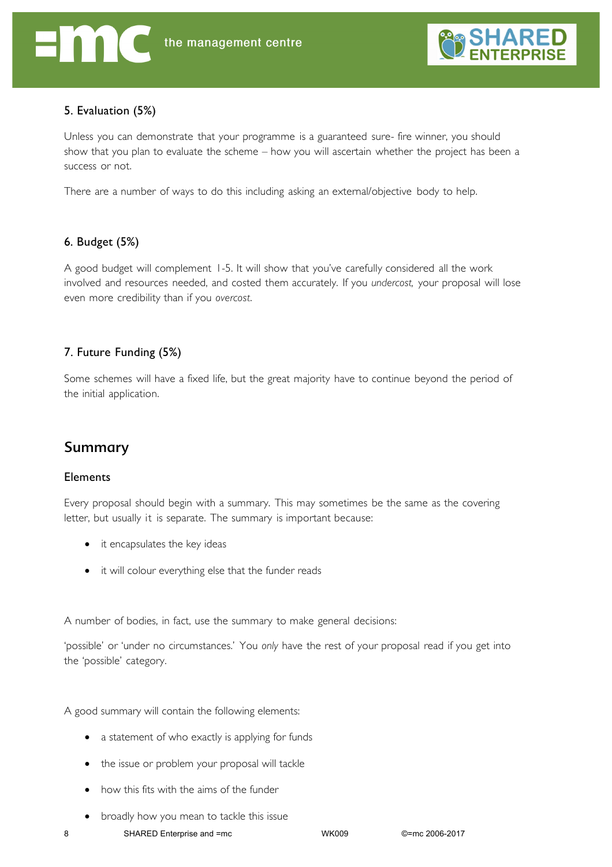

### 5. Evaluation (5%)

Unless you can demonstrate that your programme is a guaranteed sure- fire winner, you should show that you plan to evaluate the scheme – how you will ascertain whether the project has been a success or not.

There are a number of ways to do this including asking an external/objective body to help.

### 6. Budget (5%)

A good budget will complement 1-5. It will show that you've carefully considered all the work involved and resources needed, and costed them accurately. If you *undercost,* your proposal will lose even more credibility than if you *overcost*.

### 7. Future Funding (5%)

Some schemes will have a fixed life, but the great majority have to continue beyond the period of the initial application.

### Summary

### **Elements**

Every proposal should begin with a summary. This may sometimes be the same as the covering letter, but usually it is separate. The summary is important because:

- it encapsulates the key ideas
- it will colour everything else that the funder reads

A number of bodies, in fact, use the summary to make general decisions:

'possible' or 'under no circumstances.' You *only* have the rest of your proposal read if you get into the 'possible' category.

A good summary will contain the following elements:

- a statement of who exactly is applying for funds
- the issue or problem your proposal will tackle
- how this fits with the aims of the funder
- broadly how you mean to tackle this issue

8 SHARED Enterprise and =mc WK009 ©=mc 2006-2017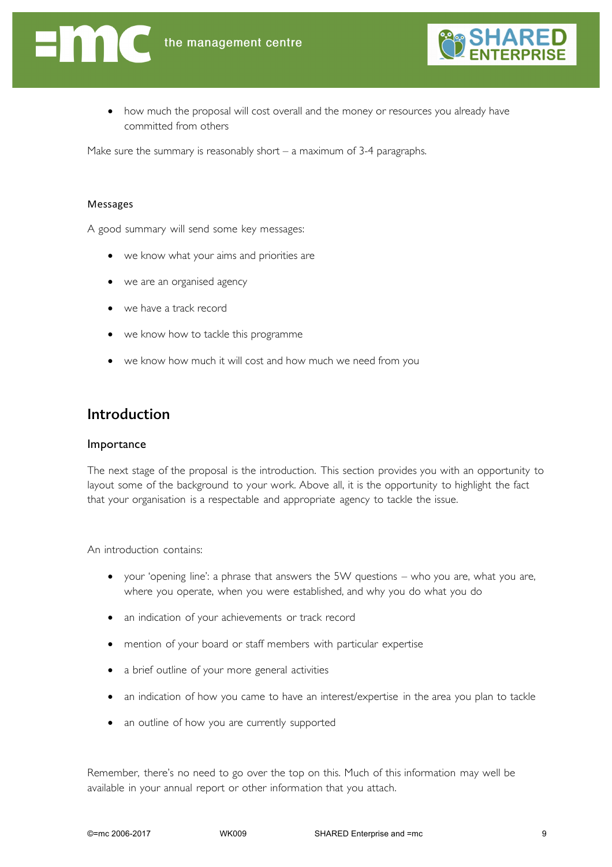



• how much the proposal will cost overall and the money or resources you already have committed from others

Make sure the summary is reasonably short  $-$  a maximum of 3-4 paragraphs.

#### Messages

A good summary will send some key messages:

- we know what your aims and priorities are
- we are an organised agency
- we have a track record
- we know how to tackle this programme
- we know how much it will cost and how much we need from you

### Introduction

#### Importance

The next stage of the proposal is the introduction. This section provides you with an opportunity to layout some of the background to your work. Above all, it is the opportunity to highlight the fact that your organisation is a respectable and appropriate agency to tackle the issue.

An introduction contains:

- your 'opening line': a phrase that answers the 5W questions who you are, what you are, where you operate, when you were established, and why you do what you do
- an indication of your achievements or track record
- mention of your board or staff members with particular expertise
- a brief outline of your more general activities
- an indication of how you came to have an interest/expertise in the area you plan to tackle
- an outline of how you are currently supported

Remember, there's no need to go over the top on this. Much of this information may well be available in your annual report or other information that you attach.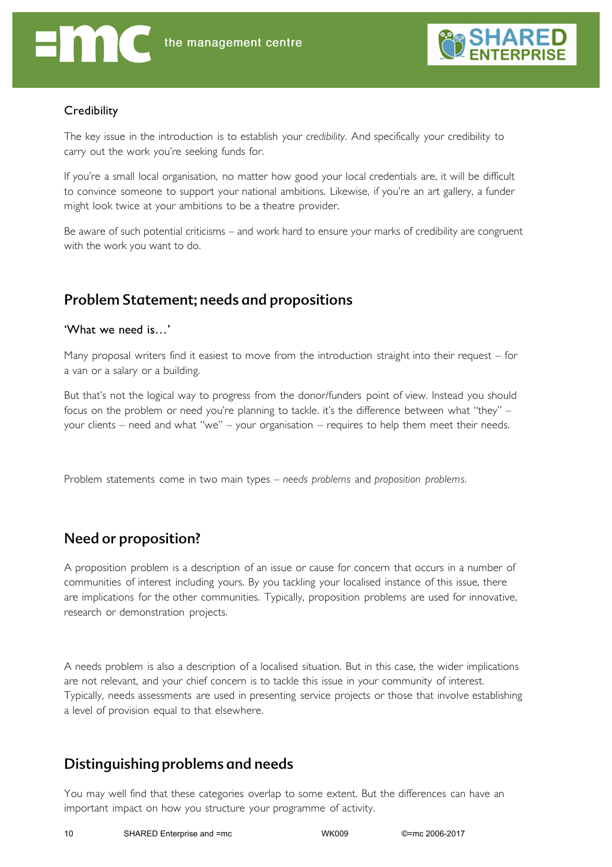

### **Credibility**

The key issue in the introduction is to establish your *credibility*. And specifically your credibility to carry out the work you're seeking funds for.

If you're a small local organisation, no matter how good your local credentials are, it will be difficult to convince someone to support your national ambitions. Likewise, if you're an art gallery, a funder might look twice at your ambitions to be a theatre provider.

Be aware of such potential criticisms – and work hard to ensure your marks of credibility are congruent with the work you want to do.

## Problem Statement; needs and propositions

### 'What we need is…'

Many proposal writers find it easiest to move from the introduction straight into their request – for a van or a salary or a building.

But that's not the logical way to progress from the donor/funders point of view. Instead you should focus on the problem or need you're planning to tackle. it's the difference between what "they" – your clients – need and what "we" – your organisation – requires to help them meet their needs.

Problem statements come in two main types – *needs problems* and *proposition problems*.

### Need or proposition?

A proposition problem is a description of an issue or cause for concern that occurs in a number of communities of interest including yours. By you tackling your localised instance of this issue, there are implications for the other communities. Typically, proposition problems are used for innovative, research or demonstration projects.

A needs problem is also a description of a localised situation. But in this case, the wider implications are not relevant, and your chief concern is to tackle this issue in your community of interest. Typically, needs assessments are used in presenting service projects or those that involve establishing a level of provision equal to that elsewhere.

### Distinguishing problems and needs

You may well find that these categories overlap to some extent. But the differences can have an important impact on how you structure your programme of activity.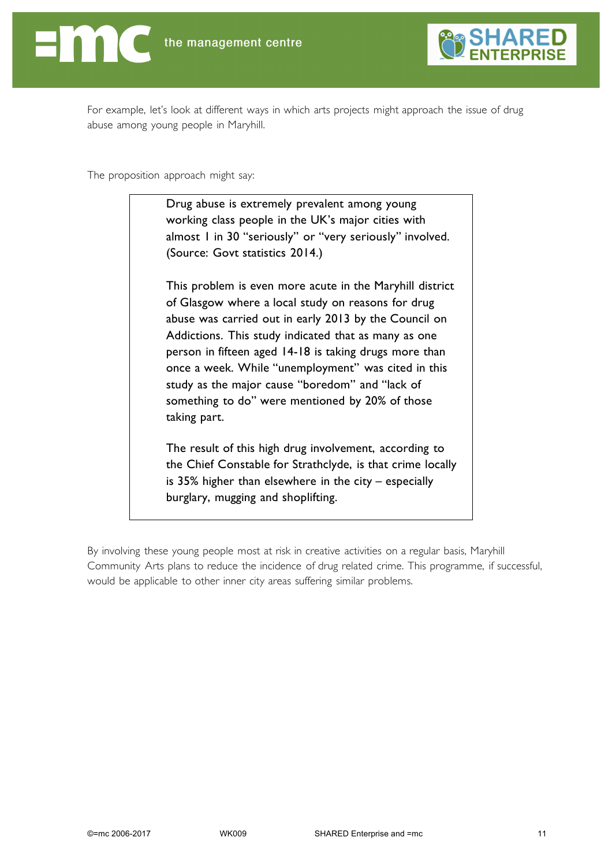



For example, let's look at different ways in which arts projects might approach the issue of drug abuse among young people in Maryhill.

The proposition approach might say:

Drug abuse is extremely prevalent among young working class people in the UK's major cities with almost 1 in 30 "seriously" or "very seriously" involved. (Source: Govt statistics 2014.)

This problem is even more acute in the Maryhill district of Glasgow where a local study on reasons for drug abuse was carried out in early 2013 by the Council on Addictions. This study indicated that as many as one person in fifteen aged 14-18 is taking drugs more than once a week. While "unemployment" was cited in this study as the major cause "boredom" and "lack of something to do" were mentioned by 20% of those taking part.

The result of this high drug involvement, according to the Chief Constable for Strathclyde, is that crime locally is 35% higher than elsewhere in the city – especially burglary, mugging and shoplifting.

By involving these young people most at risk in creative activities on a regular basis, Maryhill Community Arts plans to reduce the incidence of drug related crime. This programme, if successful, would be applicable to other inner city areas suffering similar problems.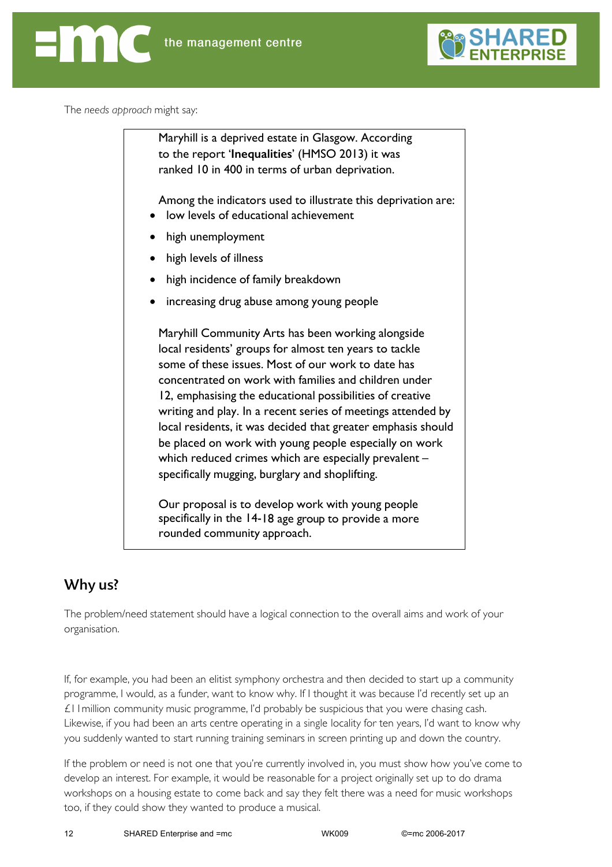

The *needs approach* might say:

Maryhill is a deprived estate in Glasgow. According to the report '**Inequalities**' (HMSO 2013) it was ranked 10 in 400 in terms of urban deprivation. Among the indicators used to illustrate this deprivation are: low levels of educational achievement high unemployment high levels of illness high incidence of family breakdown • increasing drug abuse among young people Maryhill Community Arts has been working alongside local residents' groups for almost ten years to tackle some of these issues. Most of our work to date has concentrated on work with families and children under 12, emphasising the educational possibilities of creative writing and play. In a recent series of meetings attended by local residents, it was decided that greater emphasis should be placed on work with young people especially on work which reduced crimes which are especially prevalent specifically mugging, burglary and shoplifting. Our proposal is to develop work with young people specifically in the 14-18 age group to provide a more

# Why us?

The problem/need statement should have a logical connection to the overall aims and work of your organisation.

rounded community approach.

If, for example, you had been an elitist symphony orchestra and then decided to start up a community programme, I would, as a funder, want to know why. If I thought it was because I'd recently set up an  $£11$  million community music programme, I'd probably be suspicious that you were chasing cash. Likewise, if you had been an arts centre operating in a single locality for ten years, I'd want to know why you suddenly wanted to start running training seminars in screen printing up and down the country.

If the problem or need is not one that you're currently involved in, you must show how you've come to develop an interest. For example, it would be reasonable for a project originally set up to do drama workshops on a housing estate to come back and say they felt there was a need for music workshops too, if they could show they wanted to produce a musical.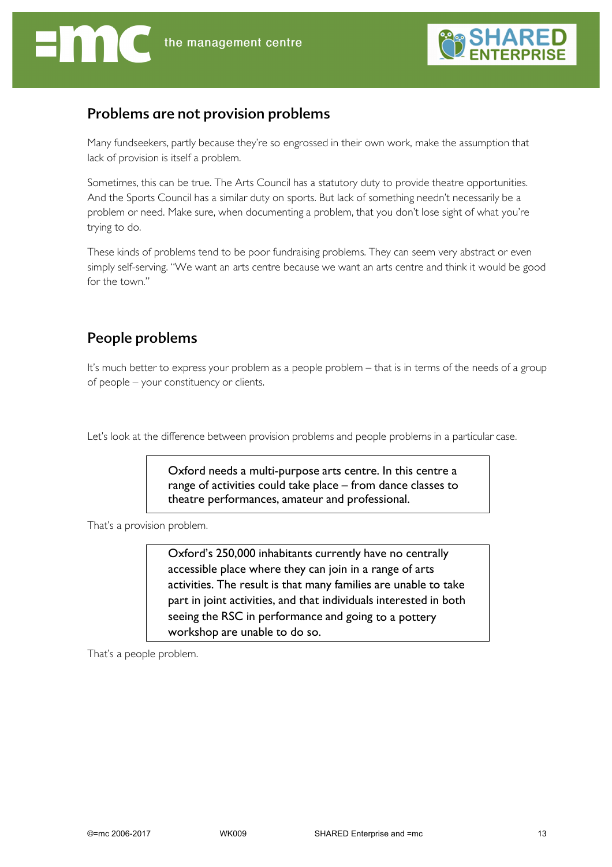

### Problems are not provision problems

Many fundseekers, partly because they're so engrossed in their own work, make the assumption that lack of provision is itself a problem.

Sometimes, this can be true. The Arts Council has a statutory duty to provide theatre opportunities. And the Sports Council has a similar duty on sports. But lack of something needn't necessarily be a problem or need. Make sure, when documenting a problem, that you don't lose sight of what you're trying to do.

These kinds of problems tend to be poor fundraising problems. They can seem very abstract or even simply self-serving. "We want an arts centre because we want an arts centre and think it would be good for the town."

# People problems

It's much better to express your problem as a people problem – that is in terms of the needs of a group of people – your constituency or clients.

Let's look at the difference between provision problems and people problems in a particular case.

Oxford needs a multi-purpose arts centre. In this centre a range of activities could take place – from dance classes to theatre performances, amateur and professional.

That's a provision problem.

Oxford's 250,000 inhabitants currently have no centrally accessible place where they can join in a range of arts activities. The result is that many families are unable to take part in joint activities, and that individuals interested in both seeing the RSC in performance and going to a pottery workshop are unable to do so.

That's a people problem.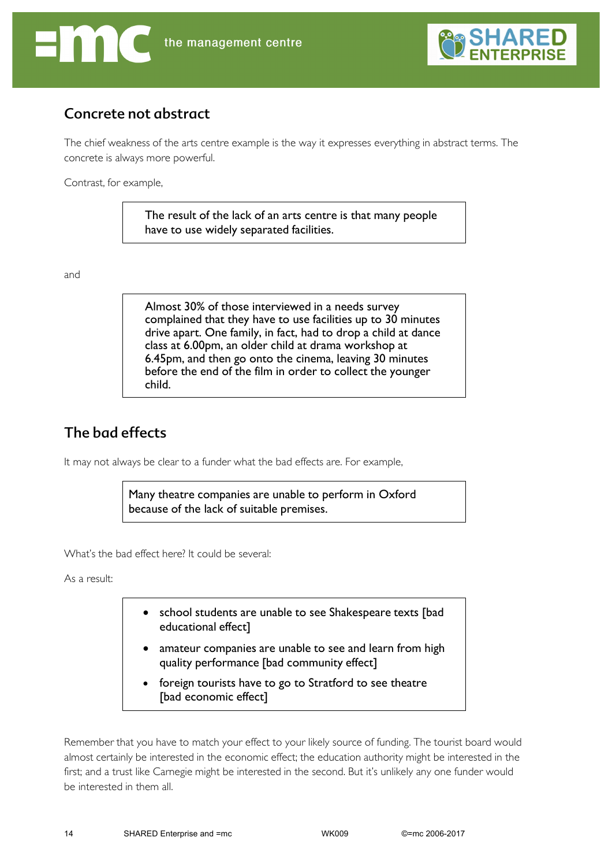



### Concrete not abstract

The chief weakness of the arts centre example is the way it expresses everything in abstract terms. The concrete is always more powerful.

Contrast, for example,

The result of the lack of an arts centre is that many people have to use widely separated facilities.

and

Almost 30% of those interviewed in a needs survey complained that they have to use facilities up to 30 minutes drive apart. One family, in fact, had to drop a child at dance class at 6.00pm, an older child at drama workshop at 6.45pm, and then go onto the cinema, leaving 30 minutes before the end of the film in order to collect the younger child.

# The bad effects

It may not always be clear to a funder what the bad effects are. For example,

Many theatre companies are unable to perform in Oxford because of the lack of suitable premises.

What's the bad effect here? It could be several:

As a result:

- school students are unable to see Shakespeare texts [bad educational effect]
- amateur companies are unable to see and learn from high quality performance [bad community effect]
- foreign tourists have to go to Stratford to see theatre [bad economic effect]

Remember that you have to match your effect to your likely source of funding. The tourist board would almost certainly be interested in the economic effect; the education authority might be interested in the first; and a trust like Carnegie might be interested in the second. But it's unlikely any one funder would be interested in them all.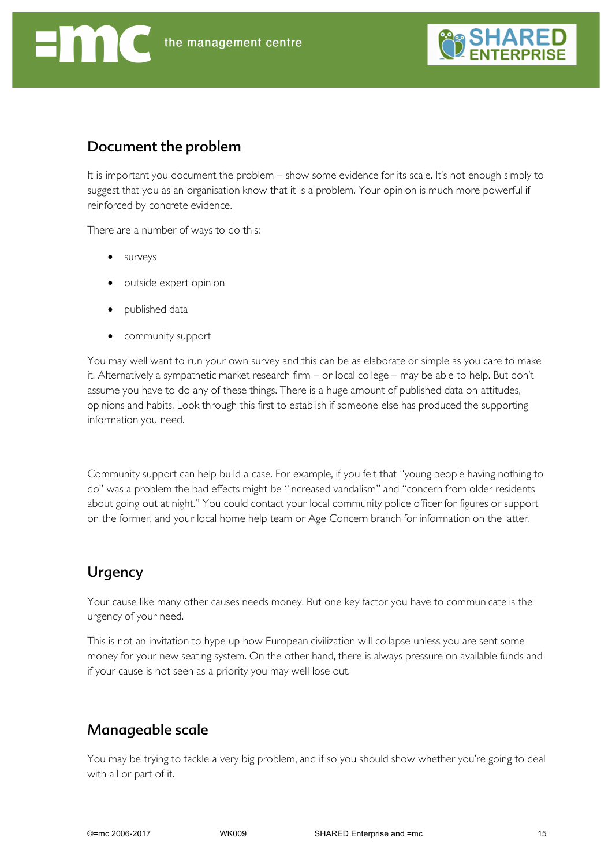

### Document the problem

It is important you document the problem – show some evidence for its scale. It's not enough simply to suggest that you as an organisation know that it is a problem. Your opinion is much more powerful if reinforced by concrete evidence.

There are a number of ways to do this:

- surveys
- outside expert opinion
- published data
- community support

You may well want to run your own survey and this can be as elaborate or simple as you care to make it. Alternatively a sympathetic market research firm – or local college – may be able to help. But don't assume you have to do any of these things. There is a huge amount of published data on attitudes, opinions and habits. Look through this first to establish if someone else has produced the supporting information you need.

Community support can help build a case. For example, if you felt that "young people having nothing to do" was a problem the bad effects might be "increased vandalism" and "concern from older residents about going out at night." You could contact your local community police officer for figures or support on the former, and your local home help team or Age Concern branch for information on the latter.

### Urgency

Your cause like many other causes needs money. But one key factor you have to communicate is the urgency of your need.

This is not an invitation to hype up how European civilization will collapse unless you are sent some money for your new seating system. On the other hand, there is always pressure on available funds and if your cause is not seen as a priority you may well lose out.

### Manageable scale

You may be trying to tackle a very big problem, and if so you should show whether you're going to deal with all or part of it.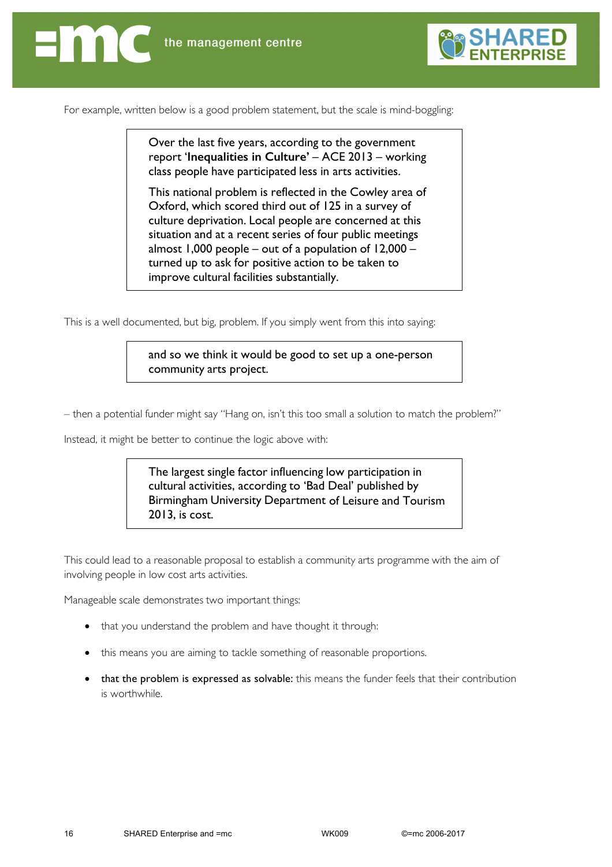

For example, written below is a good problem statement, but the scale is mind-boggling:

Over the last five years, according to the government report '**Inequalities in Culture'** – ACE 2013 – working class people have participated less in arts activities.

This national problem is reflected in the Cowley area of Oxford, which scored third out of 125 in a survey of culture deprivation. Local people are concerned at this situation and at a recent series of four public meetings almost 1,000 people – out of a population of 12,000 – turned up to ask for positive action to be taken to improve cultural facilities substantially.

This is a well documented, but big, problem. If you simply went from this into saying:

and so we think it would be good to set up a one-person community arts project.

– then a potential funder might say "Hang on, isn't this too small a solution to match the problem?"

Instead, it might be better to continue the logic above with:

The largest single factor influencing low participation in cultural activities, according to 'Bad Deal' published by Birmingham University Department of Leisure and Tourism 2013, is cost.

This could lead to a reasonable proposal to establish a community arts programme with the aim of involving people in low cost arts activities.

Manageable scale demonstrates two important things:

- that you understand the problem and have thought it through:
- this means you are aiming to tackle something of reasonable proportions.
- that the problem is expressed as solvable: this means the funder feels that their contribution is worthwhile.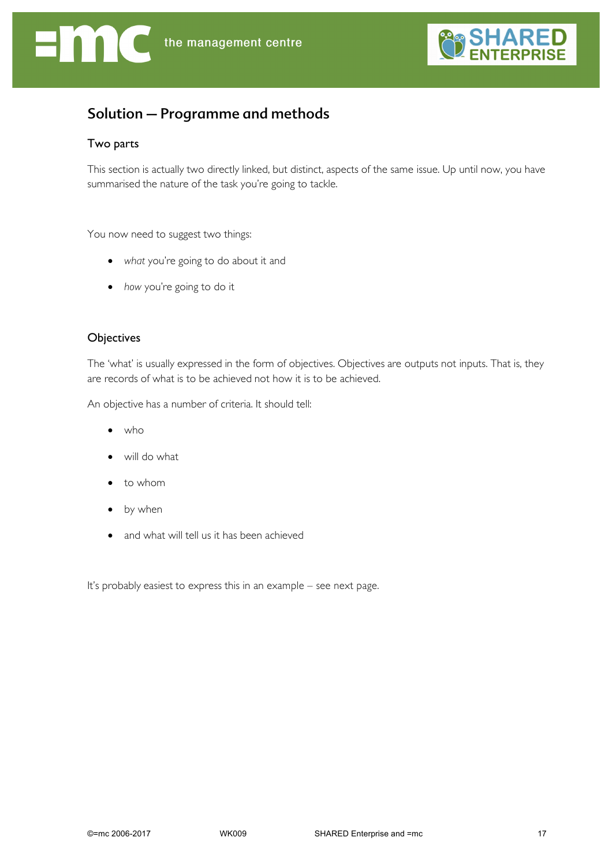



## Solution – Programme and methods

### Two parts

This section is actually two directly linked, but distinct, aspects of the same issue. Up until now, you have summarised the nature of the task you're going to tackle.

You now need to suggest two things:

- *what* you're going to do about it and
- *how* you're going to do it

### **Objectives**

The 'what' is usually expressed in the form of objectives. Objectives are outputs not inputs. That is, they are records of what is to be achieved not how it is to be achieved.

An objective has a number of criteria. It should tell:

- who
- will do what
- to whom
- by when
- and what will tell us it has been achieved

It's probably easiest to express this in an example – see next page.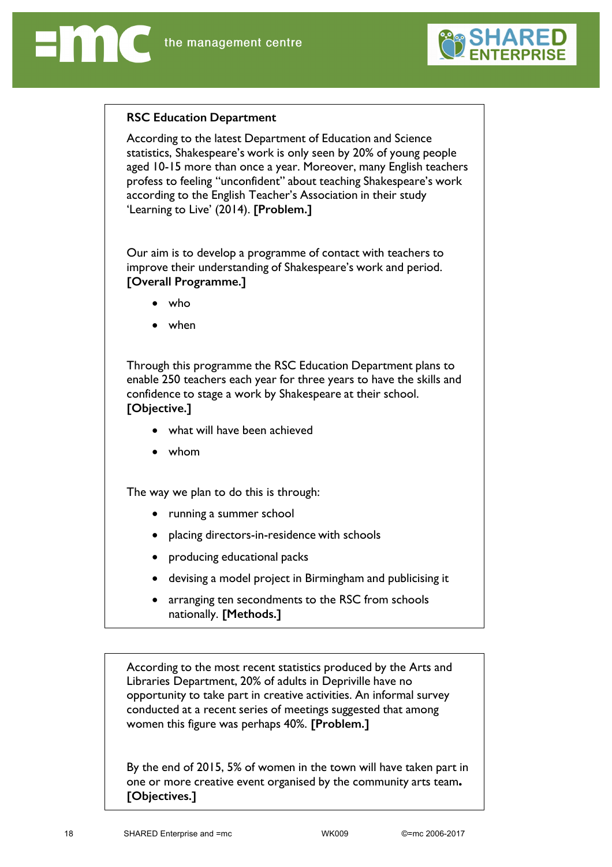

### **RSC Education Department**

According to the latest Department of Education and Science statistics, Shakespeare's work is only seen by 20% of young people aged 10-15 more than once a year. Moreover, many English teachers profess to feeling "unconfident" about teaching Shakespeare's work according to the English Teacher's Association in their study 'Learning to Live' (2014). **[Problem.]**

Our aim is to develop a programme of contact with teachers to improve their understanding of Shakespeare's work and period. **[Overall Programme.]**

- who
- when

Through this programme the RSC Education Department plans to enable 250 teachers each year for three years to have the skills and confidence to stage a work by Shakespeare at their school. **[Objective.]**

- what will have been achieved
- whom

The way we plan to do this is through:

- running a summer school
- placing directors-in-residence with schools
- producing educational packs
- devising a model project in Birmingham and publicising it
- arranging ten secondments to the RSC from schools nationally. **[Methods.]**

According to the most recent statistics produced by the Arts and Libraries Department, 20% of adults in Depriville have no opportunity to take part in creative activities. An informal survey conducted at a recent series of meetings suggested that among women this figure was perhaps 40%. **[Problem.]**

By the end of 2015, 5% of women in the town will have taken part in one or more creative event organised by the community arts team**. [Objectives.]**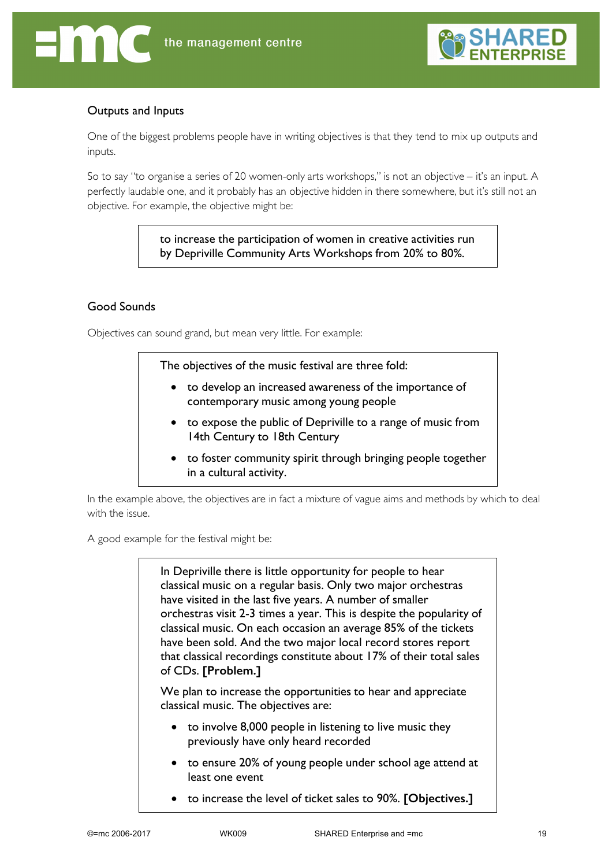

### Outputs and Inputs

One of the biggest problems people have in writing objectives is that they tend to mix up outputs and inputs.

So to say "to organise a series of 20 women-only arts workshops," is not an objective – it's an input. A perfectly laudable one, and it probably has an objective hidden in there somewhere, but it's still not an objective. For example, the objective might be:

> to increase the participation of women in creative activities run by Depriville Community Arts Workshops from 20% to 80%.

### Good Sounds

Objectives can sound grand, but mean very little. For example:

The objectives of the music festival are three fold:

- to develop an increased awareness of the importance of contemporary music among young people
- to expose the public of Depriville to a range of music from 14th Century to 18th Century
- to foster community spirit through bringing people together in a cultural activity.

In the example above, the objectives are in fact a mixture of vague aims and methods by which to deal with the issue.

A good example for the festival might be:

In Depriville there is little opportunity for people to hear classical music on a regular basis. Only two major orchestras have visited in the last five years. A number of smaller orchestras visit 2-3 times a year. This is despite the popularity of classical music. On each occasion an average 85% of the tickets have been sold. And the two major local record stores report that classical recordings constitute about 17% of their total sales of CDs. **[Problem.]**

We plan to increase the opportunities to hear and appreciate classical music. The objectives are:

- to involve 8,000 people in listening to live music they previously have only heard recorded
- to ensure 20% of young people under school age attend at least one event
- to increase the level of ticket sales to 90%. **[Objectives.]**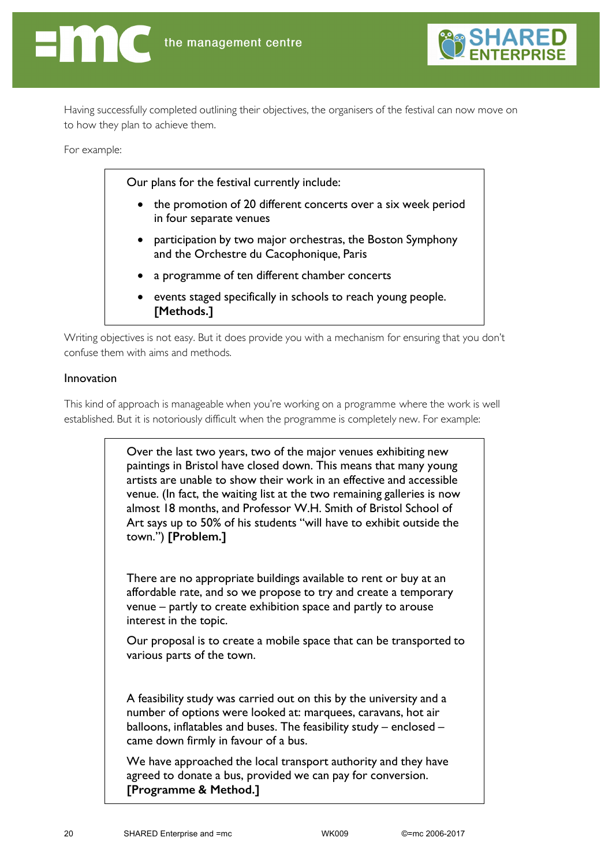

Having successfully completed outlining their objectives, the organisers of the festival can now move on to how they plan to achieve them.

For example:

Our plans for the festival currently include:

- the promotion of 20 different concerts over a six week period in four separate venues
- participation by two major orchestras, the Boston Symphony and the Orchestre du Cacophonique, Paris
- a programme of ten different chamber concerts
- events staged specifically in schools to reach young people. **[Methods.]**

Writing objectives is not easy. But it does provide you with a mechanism for ensuring that you don't confuse them with aims and methods.

### Innovation

This kind of approach is manageable when you're working on a programme where the work is well established. But it is notoriously difficult when the programme is completely new. For example:

> Over the last two years, two of the major venues exhibiting new paintings in Bristol have closed down. This means that many young artists are unable to show their work in an effective and accessible venue. (In fact, the waiting list at the two remaining galleries is now almost 18 months, and Professor W.H. Smith of Bristol School of Art says up to 50% of his students "will have to exhibit outside the town.") **[Problem.]**

There are no appropriate buildings available to rent or buy at an affordable rate, and so we propose to try and create a temporary venue – partly to create exhibition space and partly to arouse interest in the topic.

Our proposal is to create a mobile space that can be transported to various parts of the town.

A feasibility study was carried out on this by the university and a number of options were looked at: marquees, caravans, hot air balloons, inflatables and buses. The feasibility study – enclosed – came down firmly in favour of a bus.

We have approached the local transport authority and they have agreed to donate a bus, provided we can pay for conversion. **[Programme & Method.]**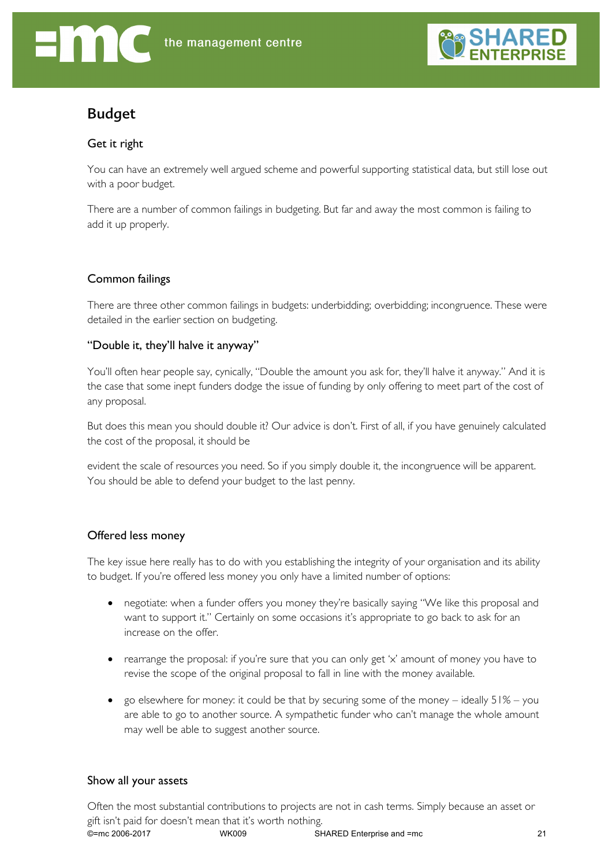

# Budget

### Get it right

You can have an extremely well argued scheme and powerful supporting statistical data, but still lose out with a poor budget.

There are a number of common failings in budgeting. But far and away the most common is failing to add it up properly.

### Common failings

There are three other common failings in budgets: underbidding; overbidding; incongruence. These were detailed in the earlier section on budgeting.

### "Double it, they'll halve it anyway"

You'll often hear people say, cynically, "Double the amount you ask for, they'll halve it anyway." And it is the case that some inept funders dodge the issue of funding by only offering to meet part of the cost of any proposal.

But does this mean you should double it? Our advice is don't. First of all, if you have genuinely calculated the cost of the proposal, it should be

evident the scale of resources you need. So if you simply double it, the incongruence will be apparent. You should be able to defend your budget to the last penny.

### Offered less money

The key issue here really has to do with you establishing the integrity of your organisation and its ability to budget. If you're offered less money you only have a limited number of options:

- negotiate: when a funder offers you money they're basically saying "We like this proposal and want to support it." Certainly on some occasions it's appropriate to go back to ask for an increase on the offer.
- rearrange the proposal: if you're sure that you can only get 'x' amount of money you have to revise the scope of the original proposal to fall in line with the money available.
- go elsewhere for money: it could be that by securing some of the money  $-$  ideally  $51\%$  you are able to go to another source. A sympathetic funder who can't manage the whole amount may well be able to suggest another source.

### Show all your assets

©=mc 2006-2017 WK009 SHARED Enterprise and =mc 21 Often the most substantial contributions to projects are not in cash terms. Simply because an asset or gift isn't paid for doesn't mean that it's worth nothing.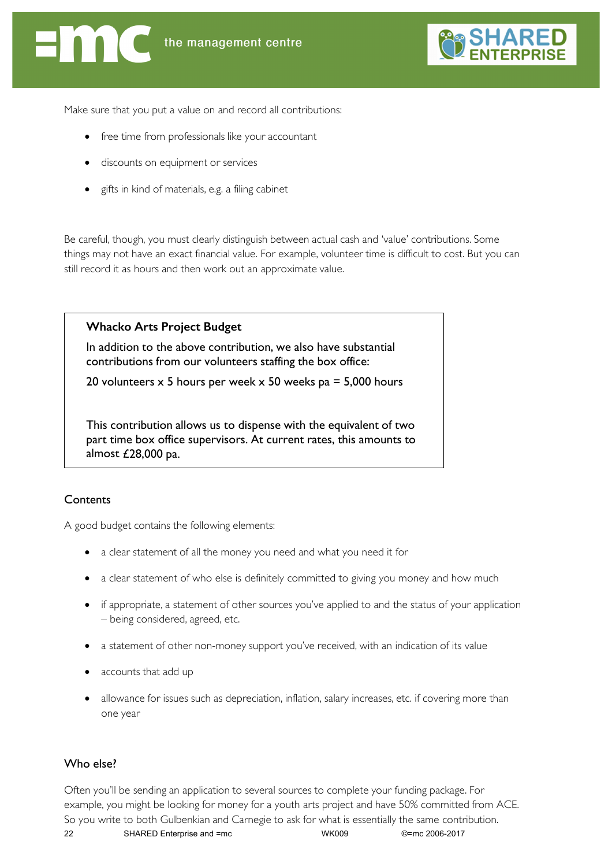

Make sure that you put a value on and record all contributions:

- free time from professionals like your accountant
- discounts on equipment or services
- gifts in kind of materials, e.g. a filing cabinet

Be careful, though, you must clearly distinguish between actual cash and 'value' contributions. Some things may not have an exact financial value. For example, volunteer time is difficult to cost. But you can still record it as hours and then work out an approximate value.

### **Whacko Arts Project Budget**

In addition to the above contribution, we also have substantial contributions from our volunteers staffing the box office:

20 volunteers  $\times$  5 hours per week  $\times$  50 weeks pa = 5,000 hours

This contribution allows us to dispense with the equivalent of two part time box office supervisors. At current rates, this amounts to almost £28,000 pa.

### **Contents**

A good budget contains the following elements:

- a clear statement of all the money you need and what you need it for
- a clear statement of who else is definitely committed to giving you money and how much
- if appropriate, a statement of other sources you've applied to and the status of your application – being considered, agreed, etc.
- a statement of other non-money support you've received, with an indication of its value
- accounts that add up
- allowance for issues such as depreciation, inflation, salary increases, etc. if covering more than one year

### Who else?

22 SHARED Enterprise and =mc WK009 ©=mc 2006-2017 Often you'll be sending an application to several sources to complete your funding package. For example, you might be looking for money for a youth arts project and have 50% committed from ACE. So you write to both Gulbenkian and Carnegie to ask for what is essentially the same contribution.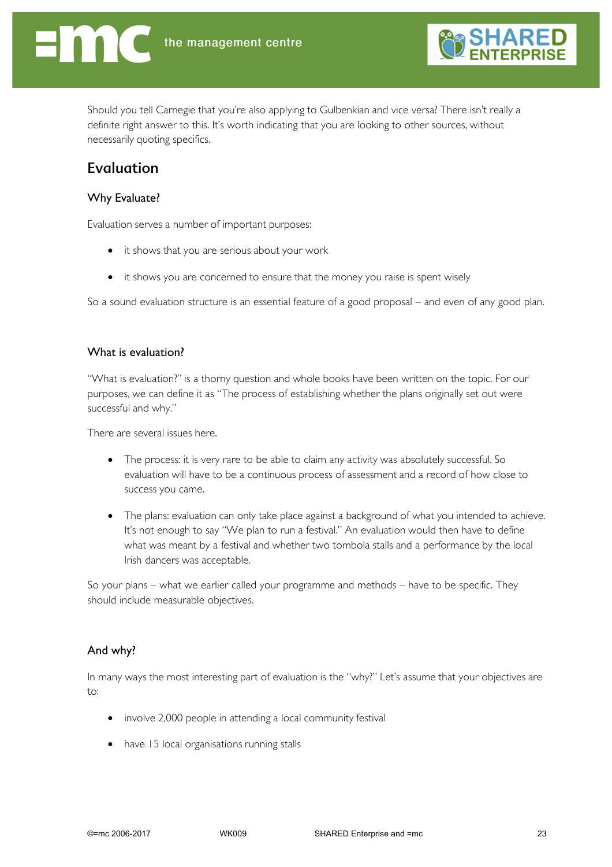

Should you tell Carnegie that you're also applying to Gulbenkian and vice versa? There isn't really a definite right answer to this. It's worth indicating that you are looking to other sources, without necessarily quoting specifics.

# Evaluation

### Why Evaluate?

Evaluation serves a number of important purposes:

- it shows that you are serious about your work
- it shows you are concerned to ensure that the money you raise is spent wisely

So a sound evaluation structure is an essential feature of a good proposal – and even of any good plan.

#### What is evaluation?

"What is evaluation?" is a thorny question and whole books have been written on the topic. For our purposes, we can define it as "The process of establishing whether the plans originally set out were successful and why."

There are several issues here.

- The process: it is very rare to be able to claim any activity was absolutely successful. So evaluation will have to be a continuous process of assessment and a record of how close to success you came.
- The plans: evaluation can only take place against a background of what you intended to achieve. It's not enough to say "We plan to run a festival." An evaluation would then have to define what was meant by a festival and whether two tombola stalls and a performance by the local Irish dancers was acceptable.

So your plans – what we earlier called your programme and methods – have to be specific. They should include measurable objectives.

### And why?

In many ways the most interesting part of evaluation is the "why?" Let's assume that your objectives are to:

- involve 2,000 people in attending a local community festival
- have 15 local organisations running stalls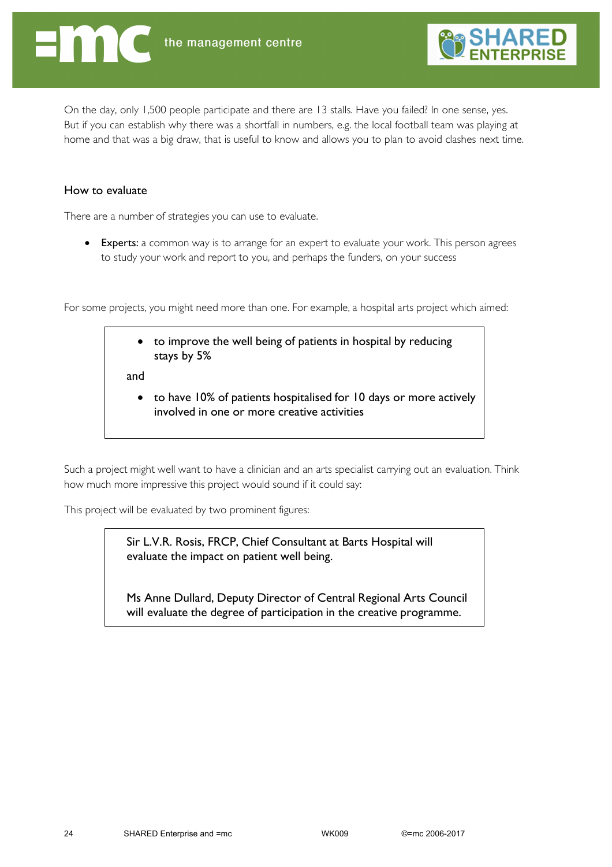

On the day, only 1,500 people participate and there are 13 stalls. Have you failed? In one sense, yes. But if you can establish why there was a shortfall in numbers, e.g. the local football team was playing at home and that was a big draw, that is useful to know and allows you to plan to avoid clashes next time.

### How to evaluate

There are a number of strategies you can use to evaluate.

• Experts: a common way is to arrange for an expert to evaluate your work. This person agrees to study your work and report to you, and perhaps the funders, on your success

For some projects, you might need more than one. For example, a hospital arts project which aimed:

| • to improve the well being of patients in hospital by reducing<br>stays by 5% |  |
|--------------------------------------------------------------------------------|--|
|                                                                                |  |

and

• to have 10% of patients hospitalised for 10 days or more actively involved in one or more creative activities

Such a project might well want to have a clinician and an arts specialist carrying out an evaluation. Think how much more impressive this project would sound if it could say:

This project will be evaluated by two prominent figures:

Sir L.V.R. Rosis, FRCP, Chief Consultant at Barts Hospital will evaluate the impact on patient well being.

Ms Anne Dullard, Deputy Director of Central Regional Arts Council will evaluate the degree of participation in the creative programme.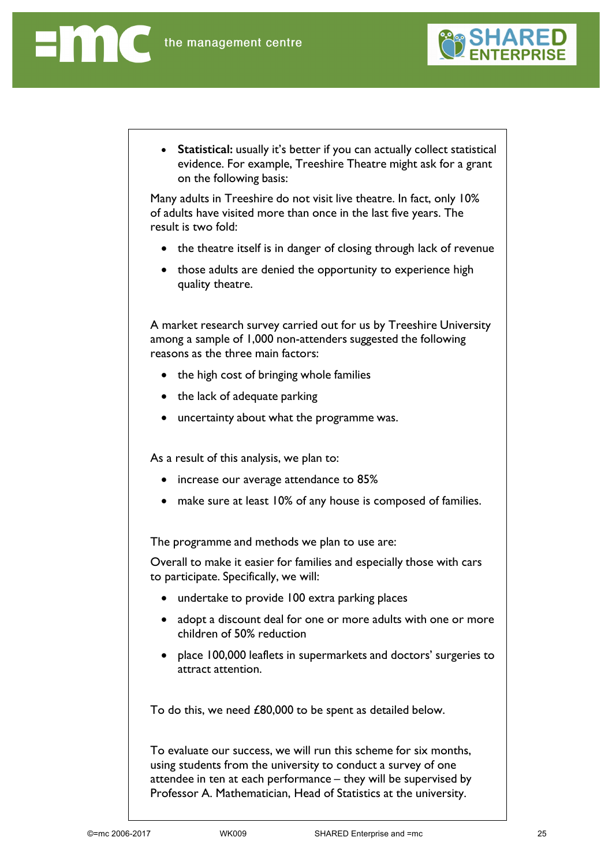Enn d



• **Statistical:** usually it's better if you can actually collect statistical evidence. For example, Treeshire Theatre might ask for a grant on the following basis:

Many adults in Treeshire do not visit live theatre. In fact, only 10% of adults have visited more than once in the last five years. The result is two fold:

- the theatre itself is in danger of closing through lack of revenue
- those adults are denied the opportunity to experience high quality theatre.

A market research survey carried out for us by Treeshire University among a sample of 1,000 non-attenders suggested the following reasons as the three main factors:

- the high cost of bringing whole families
- the lack of adequate parking
- uncertainty about what the programme was.

As a result of this analysis, we plan to:

- increase our average attendance to 85%
- make sure at least 10% of any house is composed of families.

The programme and methods we plan to use are:

Overall to make it easier for families and especially those with cars to participate. Specifically, we will:

- undertake to provide 100 extra parking places
- adopt a discount deal for one or more adults with one or more children of 50% reduction
- place 100,000 leaflets in supermarkets and doctors' surgeries to attract attention.

To do this, we need £80,000 to be spent as detailed below.

To evaluate our success, we will run this scheme for six months, using students from the university to conduct a survey of one attendee in ten at each performance – they will be supervised by Professor A. Mathematician, Head of Statistics at the university.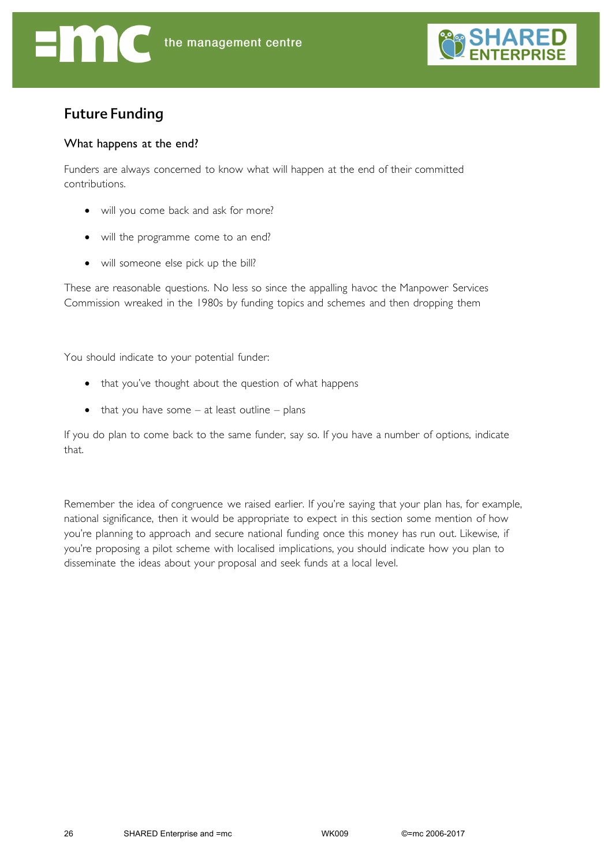

# Future Funding

### What happens at the end?

Funders are always concerned to know what will happen at the end of their committed contributions.

- will you come back and ask for more?
- will the programme come to an end?
- will someone else pick up the bill?

These are reasonable questions. No less so since the appalling havoc the Manpower Services Commission wreaked in the 1980s by funding topics and schemes and then dropping them

You should indicate to your potential funder:

- that you've thought about the question of what happens
- $\bullet$  that you have some at least outline plans

If you do plan to come back to the same funder, say so. If you have a number of options, indicate that.

Remember the idea of congruence we raised earlier. If you're saying that your plan has, for example, national significance, then it would be appropriate to expect in this section some mention of how you're planning to approach and secure national funding once this money has run out. Likewise, if you're proposing a pilot scheme with localised implications, you should indicate how you plan to disseminate the ideas about your proposal and seek funds at a local level.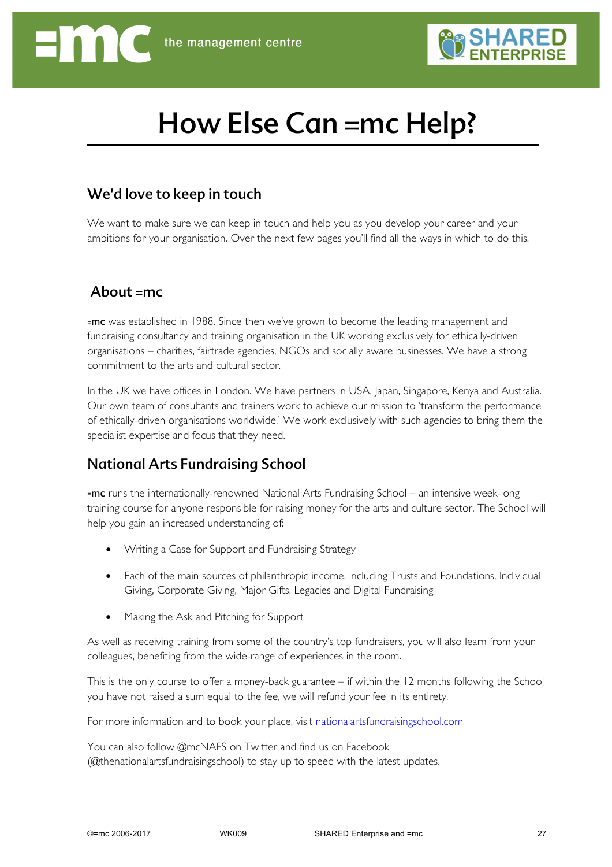

# How Else Can =mc Help?

### We'd love to keep in touch

We want to make sure we can keep in touch and help you as you develop your career and your ambitions for your organisation. Over the next few pages you'll find all the ways in which to do this.

### About  $=mc$

=mc was established in 1988. Since then we've grown to become the leading management and fundraising consultancy and training organisation in the UK working exclusively for ethically-driven organisations – charities, fairtrade agencies, NGOs and socially aware businesses. We have a strong commitment to the arts and cultural sector.

In the UK we have offices in London. We have partners in USA, Japan, Singapore, Kenya and Australia. Our own team of consultants and trainers work to achieve our mission to 'transform the performance of ethically-driven organisations worldwide.' We work exclusively with such agencies to bring them the specialist expertise and focus that they need.

# National Arts Fundraising School

=mc runs the internationally-renowned National Arts Fundraising School – an intensive week-long training course for anyone responsible for raising money for the arts and culture sector. The School will help you gain an increased understanding of:

- Writing a Case for Support and Fundraising Strategy
- Each of the main sources of philanthropic income, including Trusts and Foundations, Individual Giving, Corporate Giving, Major Gifts, Legacies and Digital Fundraising
- Making the Ask and Pitching for Support

As well as receiving training from some of the country's top fundraisers, you will also learn from your colleagues, benefiting from the wide-range of experiences in the room.

This is the only course to offer a money-back guarantee – if within the 12 months following the School you have not raised a sum equal to the fee, we will refund your fee in its entirety.

For more information and to book your place, visit nationalartsfundraisingschool.com

You can also follow @mcNAFS on Twitter and find us on Facebook (@thenationalartsfundraisingschool) to stay up to speed with the latest updates.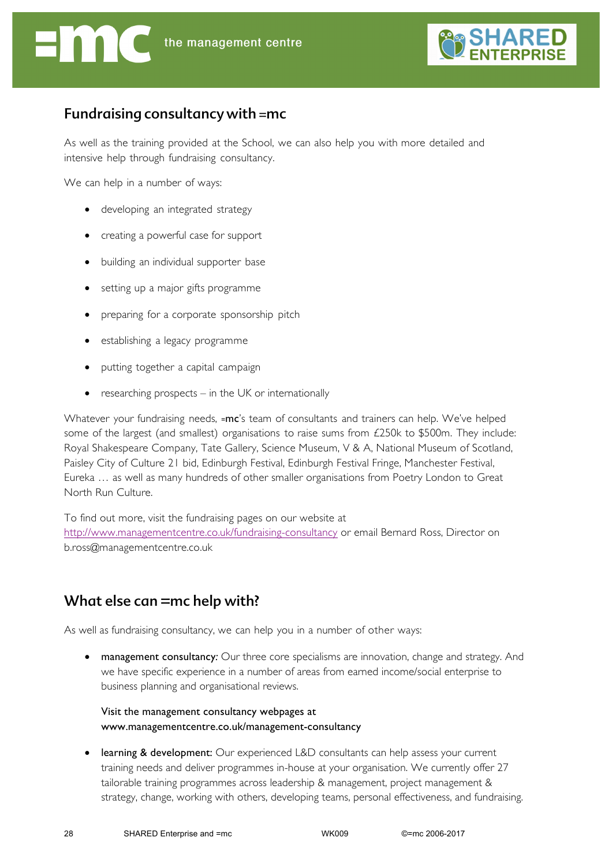

## Fundraising consultancy with =mc

As well as the training provided at the School, we can also help you with more detailed and intensive help through fundraising consultancy.

We can help in a number of ways:

- developing an integrated strategy
- creating a powerful case for support
- building an individual supporter base
- setting up a major gifts programme
- preparing for a corporate sponsorship pitch
- establishing a legacy programme
- putting together a capital campaign
- researching prospects  $-$  in the UK or internationally

Whatever your fundraising needs, =mc's team of consultants and trainers can help. We've helped some of the largest (and smallest) organisations to raise sums from £250k to \$500m. They include: Royal Shakespeare Company, Tate Gallery, Science Museum, V & A, National Museum of Scotland, Paisley City of Culture 21 bid, Edinburgh Festival, Edinburgh Festival Fringe, Manchester Festival, Eureka … as well as many hundreds of other smaller organisations from Poetry London to Great North Run Culture.

To find out more, visit the fundraising pages on our website at http://www.managementcentre.co.uk/fundraising-consultancy or email Bernard Ross, Director on b.ross@managementcentre.co.uk

# What else can =mc help with?

As well as fundraising consultancy, we can help you in a number of other ways:

• management consultancy*:* Our three core specialisms are innovation, change and strategy. And we have specific experience in a number of areas from earned income/social enterprise to business planning and organisational reviews.

Visit the management consultancy webpages at www.managementcentre.co.uk/management-consultancy

learning & development: Our experienced L&D consultants can help assess your current training needs and deliver programmes in-house at your organisation. We currently offer 27 tailorable training programmes across leadership & management, project management & strategy, change, working with others, developing teams, personal effectiveness, and fundraising.